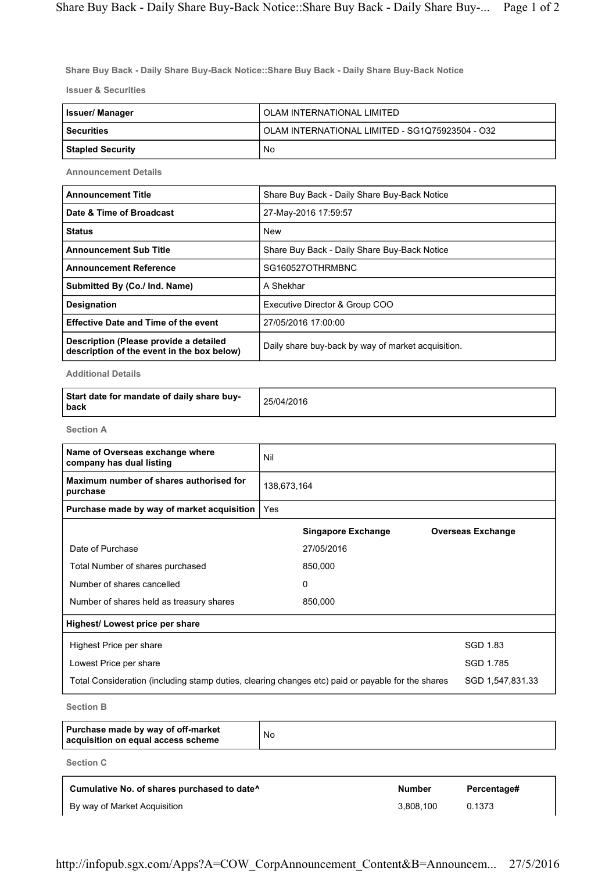**Share Buy Back - Daily Share Buy-Back Notice::Share Buy Back - Daily Share Buy-Back Notice**

**Issuer & Securities**

| <b>Issuer/Manager</b> | OLAM INTERNATIONAL LIMITED                      |
|-----------------------|-------------------------------------------------|
| l Securities          | OLAM INTERNATIONAL LIMITED - SG1Q75923504 - O32 |
| Stapled Security      | No                                              |

**Announcement Details**

| <b>Announcement Title</b>                                                            | Share Buy Back - Daily Share Buy-Back Notice       |
|--------------------------------------------------------------------------------------|----------------------------------------------------|
| Date & Time of Broadcast                                                             | 27-May-2016 17:59:57                               |
| <b>Status</b>                                                                        | <b>New</b>                                         |
| <b>Announcement Sub Title</b>                                                        | Share Buy Back - Daily Share Buy-Back Notice       |
| <b>Announcement Reference</b>                                                        | SG160527OTHRMBNC                                   |
| Submitted By (Co./ Ind. Name)                                                        | A Shekhar                                          |
| <b>Designation</b>                                                                   | Executive Director & Group COO                     |
| <b>Effective Date and Time of the event</b>                                          | 27/05/2016 17:00:00                                |
| Description (Please provide a detailed<br>description of the event in the box below) | Daily share buy-back by way of market acquisition. |

**Additional Details**

| Start date for mandate of daily share buy-<br>back | 25/04/2016 |
|----------------------------------------------------|------------|
|----------------------------------------------------|------------|

**Section A**

| Name of Overseas exchange where<br>company has dual listing                                       | Nil         |                           |                          |
|---------------------------------------------------------------------------------------------------|-------------|---------------------------|--------------------------|
| Maximum number of shares authorised for<br>purchase                                               | 138,673,164 |                           |                          |
| Purchase made by way of market acquisition                                                        | Yes         |                           |                          |
|                                                                                                   |             | <b>Singapore Exchange</b> | <b>Overseas Exchange</b> |
| Date of Purchase                                                                                  |             | 27/05/2016                |                          |
| Total Number of shares purchased                                                                  |             | 850,000                   |                          |
| Number of shares cancelled                                                                        |             | $\mathbf{0}$              |                          |
| Number of shares held as treasury shares                                                          |             | 850,000                   |                          |
| Highest/ Lowest price per share                                                                   |             |                           |                          |
| Highest Price per share                                                                           |             |                           | SGD 1.83                 |
| Lowest Price per share                                                                            |             |                           | SGD 1.785                |
| Total Consideration (including stamp duties, clearing changes etc) paid or payable for the shares |             |                           | SGD 1,547,831.33         |
|                                                                                                   |             |                           |                          |

**Section B**

| Purchase made by way of off-market<br>acquisition on equal access scheme | No |
|--------------------------------------------------------------------------|----|
| Sootian C                                                                |    |

**Section C**

| Cumulative No. of shares purchased to date <sup>^</sup> | <b>Number</b> | Percentage# |
|---------------------------------------------------------|---------------|-------------|
| By way of Market Acquisition                            | 3.808.100     | 0.1373      |